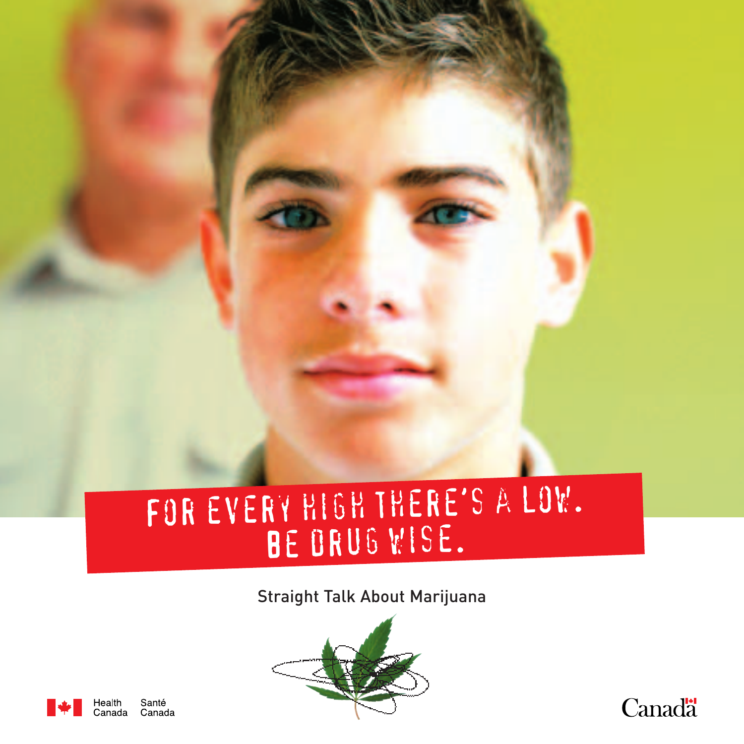## For every high there's a low. BE DRUG WISE.

#### Straight Talk About Marijuana





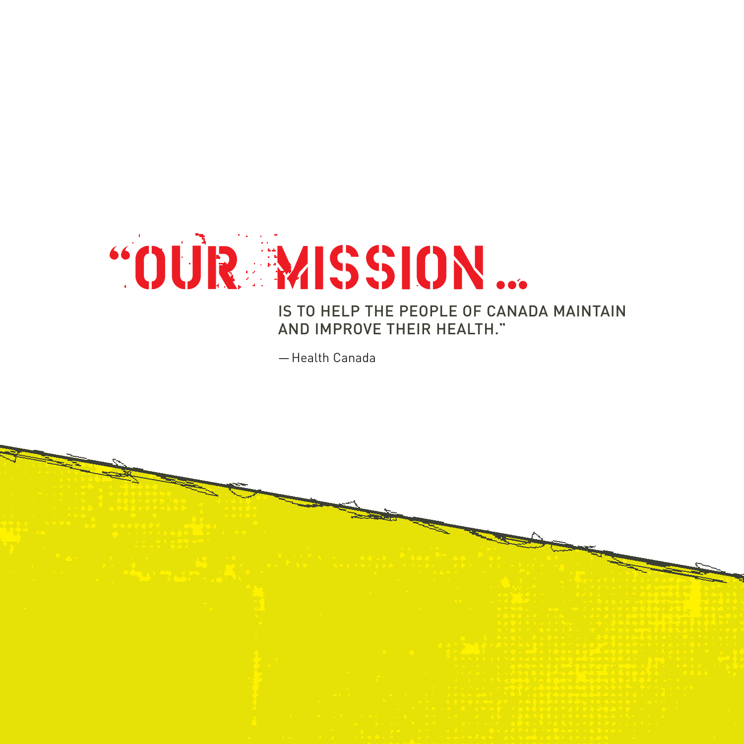

#### IS TO HELP THE PEOPLE OF CANADA MAINTAIN AND IMPROVE THEIR HEALTH."

—Health Canada

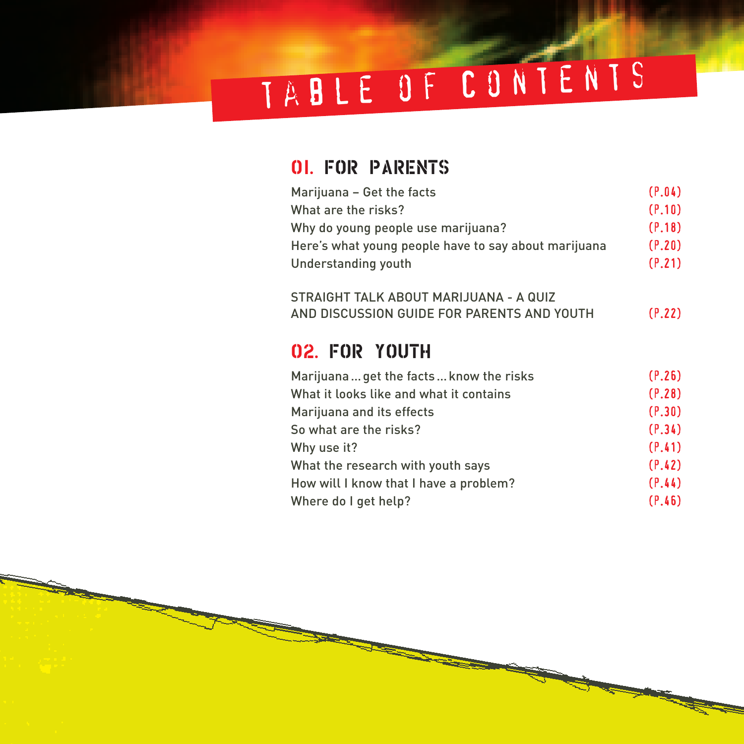# table of Contents

#### 01. FOR PARENTS

| Marijuana - Get the facts                            | (P.04) |
|------------------------------------------------------|--------|
| What are the risks?                                  | (P.10) |
| Why do young people use marijuana?                   | (P.18) |
| Here's what young people have to say about marijuana | (P.20) |
| Understanding youth                                  | (P.21) |
| STRAIGHT TALK ABOUT MARIJUANA - A QUIZ               |        |
| AND DISCUSSION GUIDE FOR PARENTS AND YOUTH           | (P.22) |
|                                                      |        |
| 02. FOR YOUTH                                        |        |
| Marijuana get the facts know the risks               | (P.26) |
| What it looks like and what it contains              | (P.28) |
| Marijuana and its effects                            | (P.30) |
| So what are the risks?                               | (P.34) |
| Why use it?                                          | (P.41) |
| What the research with youth says                    | (P.42) |
| How will I know that I have a problem?               | (P.44) |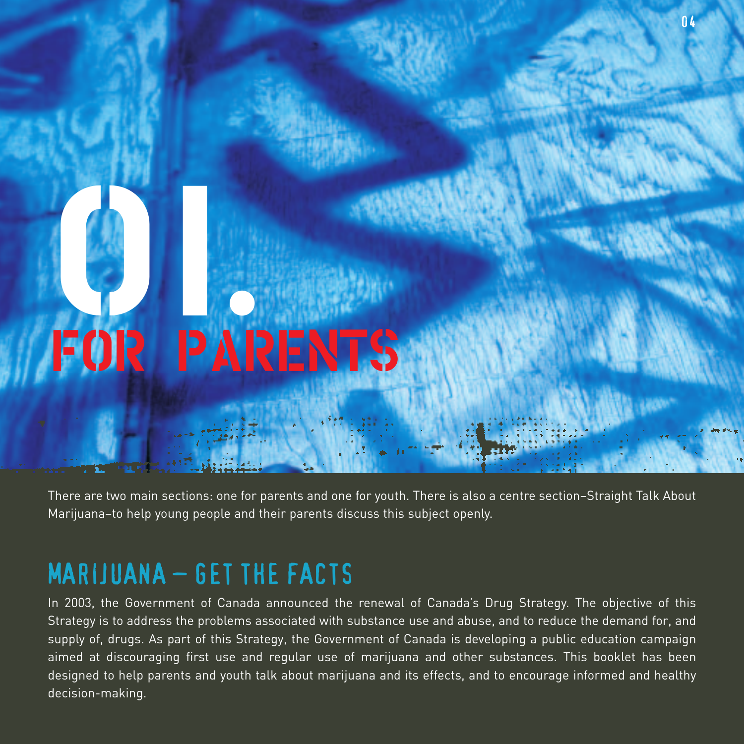# 8 FOR PARENTS

There are two main sections: one for parents and one for youth. There is also a centre section–Straight Talk About Marijuana–to help young people and their parents discuss this subject openly.

 $\mathsf{n}$ 

#### MARIJUANA – GET THE FACTS

In 2003, the Government of Canada announced the renewal of Canada's Drug Strategy. The objective of this Strategy is to address the problems associated with substance use and abuse, and to reduce the demand for, and supply of, drugs. As part of this Strategy, the Government of Canada is developing a public education campaign aimed at discouraging first use and regular use of marijuana and other substances. This booklet has been designed to help parents and youth talk about marijuana and its effects, and to encourage informed and healthy decision-making.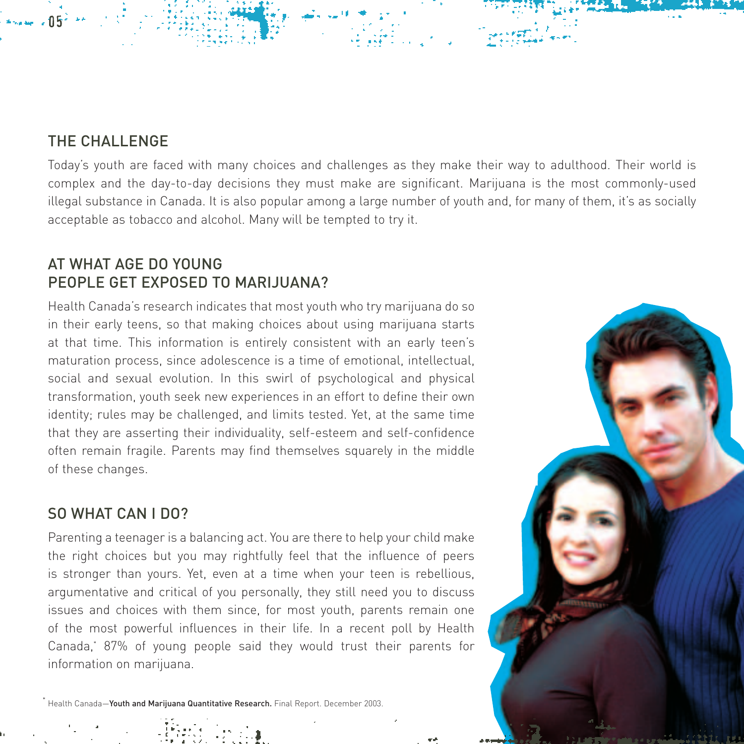#### THE CHALLENGE

05

Today's youth are faced with many choices and challenges as they make their way to adulthood. Their world is complex and the day-to-day decisions they must make are significant. Marijuana is the most commonly-used illegal substance in Canada. It is also popular among a large number of youth and, for many of them, it's as socially acceptable as tobacco and alcohol. Many will be tempted to try it.

#### AT WHAT AGE DO YOUNG PEOPLE GET EXPOSED TO MARIJUANA?

Health Canada's research indicates that most youth who try marijuana do so in their early teens, so that making choices about using marijuana starts at that time. This information is entirely consistent with an early teen's maturation process, since adolescence is a time of emotional, intellectual, social and sexual evolution. In this swirl of psychological and physical transformation, youth seek new experiences in an effort to define their own identity; rules may be challenged, and limits tested. Yet, at the same time that they are asserting their individuality, self-esteem and self-confidence often remain fragile. Parents may find themselves squarely in the middle of these changes.

#### SO WHAT CAN I DO?

Parenting a teenager is a balancing act. You are there to help your child make the right choices but you may rightfully feel that the influence of peers is stronger than yours. Yet, even at a time when your teen is rebellious, argumentative and critical of you personally, they still need you to discuss issues and choices with them since, for most youth, parents remain one of the most powerful influences in their life. In a recent poll by Health Canada,\* 87% of young people said they would trust their parents for information on marijuana.

.<br>Health Canada—Youth and Marijuana Quantitative Research. Final Report. December 2003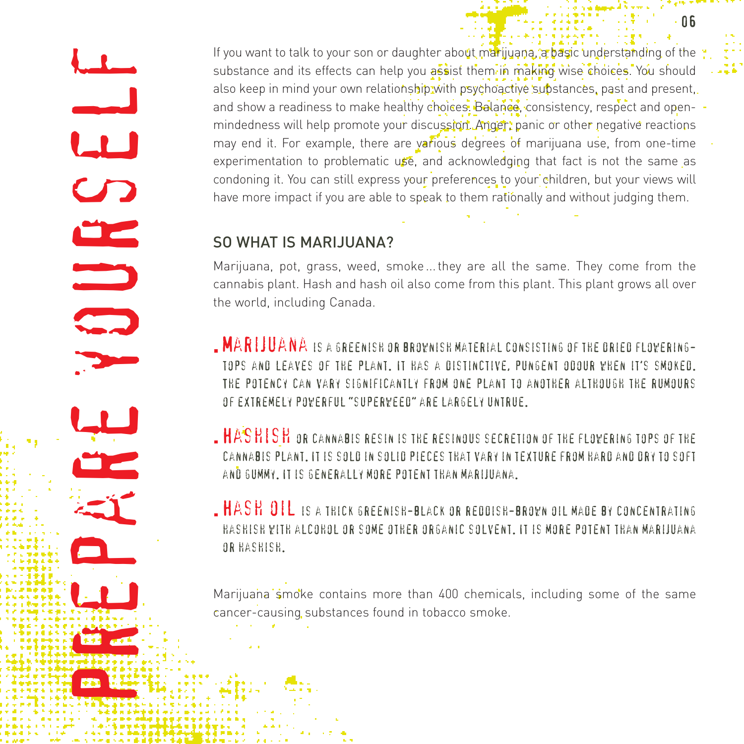Prepare the basic of the prepare your solutions, and and the same to talk the second to talk to your solutions, a basic understanding to your solutions, a basic understanding to your society and the present to present the substance and its effects can help you assist them in making wise choices. You should also keep in mind your own relationship with psychoactive substances, past and present, and show a readiness to make healthy choices. Balance, consistency, respect and openmindedness will help promote your discussion. Anger, panic or other negative reactions may end it. For example, there are various degrees of marijuana use, from one-time experimentation to problematic use, and acknowledging that fact is not the same as condoning it. You can still express your preferences to your children, but your views will have more impact if you are able to speak to them rationally and without judging them.

#### SO WHAT IS MARIJUANA?

Marijuana, pot, grass, weed, smoke ... they are all the same. They come from the cannabis plant. Hash and hash oil also come from this plant. This plant grows all over the world, including Canada.

**MARIJUANA IS A GREENISH OR BROWNISH MATERIAL CONSISTING OF THE DRIED FLOWERING**tops and leaves of the plant. It has a distinctive, pungent odour when it's smoked. The potency can vary significantly from one plant to another although the rumours of extremely powerful "superweed" are largely untrue.

- **HASHISH** or cannabis resin is the resinous secretion of the flowering tops of the cannabis plant. It is sold in solid pieces that vary in texture from hard and dry to soft and gummy. It is generally more potent than marijuana.
- Hash oil is a thick greenish-black or reddish-brown oil made by concentrating hashish with alcohol or some other organic solvent. It is more potent than marijuana or hashish.

Marijuana smoke contains more than 400 chemicals, including some of the same cancer-causing substances found in tobacco smoke.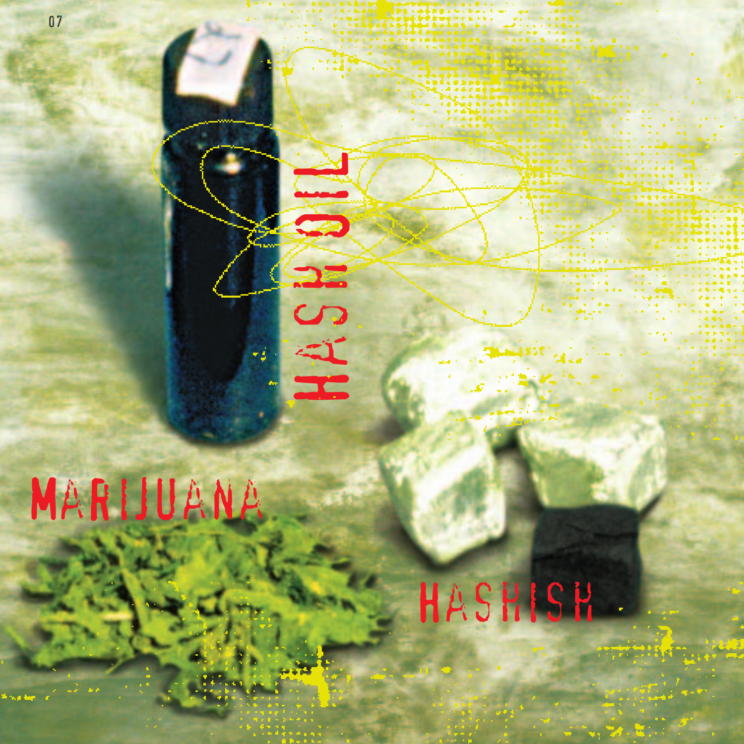

# Has Hall

# Hashish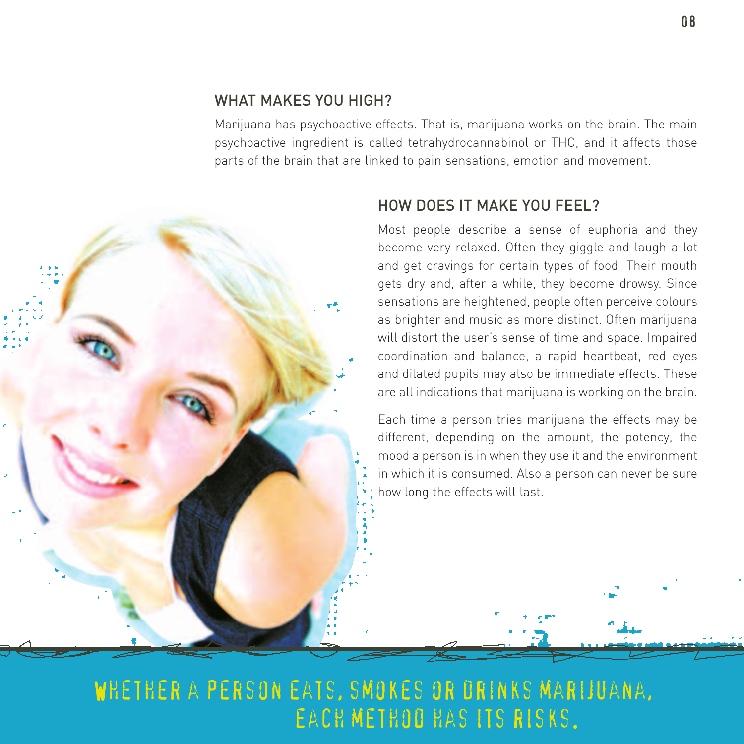#### WHAT MAKES YOU HIGH?

Marijuana has psychoactive effects. That is, marijuana works on the brain. The main psychoactive ingredient is called tetrahydrocannabinol or THC, and it affects those parts of the brain that are linked to pain sensations, emotion and movement.



#### HOW DOES IT MAKE YOU FEEL?

Most people describe a sense of euphoria and they become very relaxed. Often they giggle and laugh a lot and get cravings for certain types of food. Their mouth gets dry and, after a while, they become drowsy. Since sensations are heightened, people often perceive colours as brighter and music as more distinct. Often marijuana will distort the user's sense of time and space. Impaired coordination and balance, a rapid heartbeat, red eyes and dilated pupils may also be immediate effects. These are all indications that marijuana is working on the brain.

Each time a person tries marijuana the effects may be different, depending on the amount, the potency, the mood a person is in when they use it and the environment in which it is consumed. Also a person can never be sure how long the effects will last.

#### Whether a person eats, smokes or drinks marijuana, each method has its risks.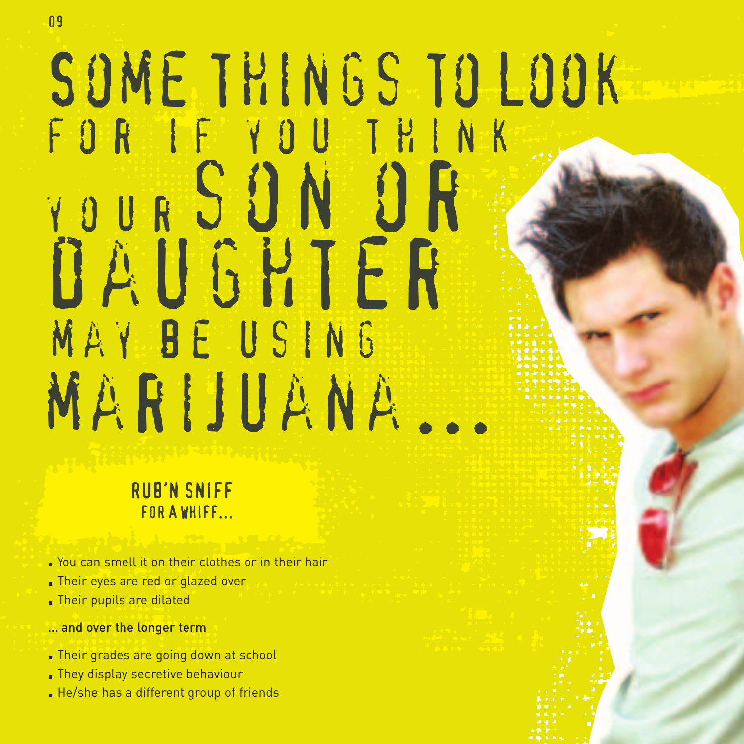# SOME THINGS TO LOOK for if you think YOUR SON OR daughter may be using marijuana...

RUB'N SNIFF FOR A WHIFF...

- You can smell it on their clothes or in their hair
- Their eyes are red or glazed over
- Their pupils are dilated
- … and over the longer term
- Their grades are going down at school
- They display secretive behaviour
- He/she has a different group of friends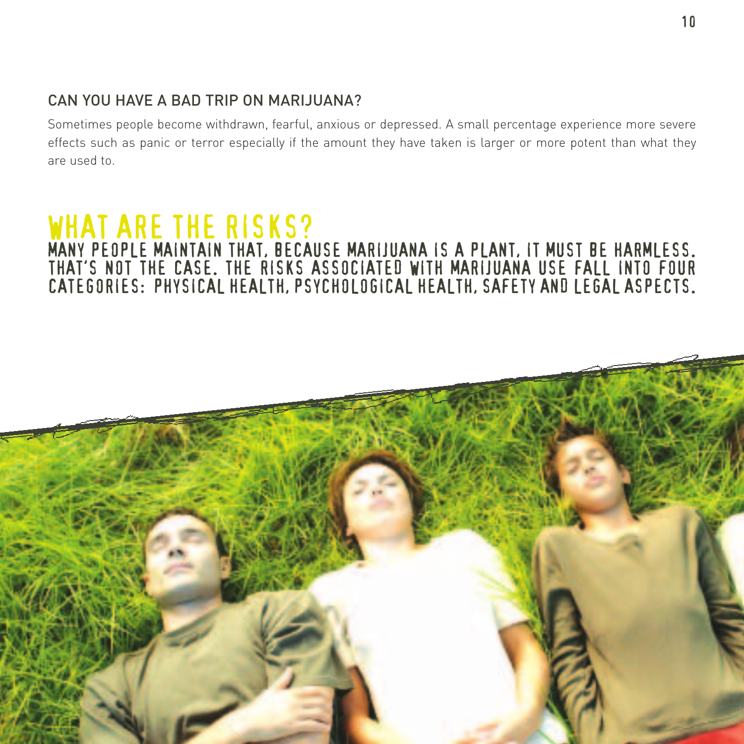#### CAN YOU HAVE A BAD TRIP ON MARIJUANA?

Sometimes people become withdrawn, fearful, anxious or depressed. A small percentage experience more severe effects such as panic or terror especially if the amount they have taken is larger or more potent than what they are used to.

#### WHAT ARE THE RISKS? MANY PEOPLE MAINTAIN THAT, BECAUSE MARIJUANA IS A PLANT, IT MUST BE HARMLESS. THAT'S NOT THE CASE. THE RISKS ASSOCIATED WITH MARIJUANA USE FALL INTO FOUR CATEGORIES: PHYSICAL HEALTH, PSYCHOLOGICAL HEALTH, SAFETY AND LEGAL ASPECTS.

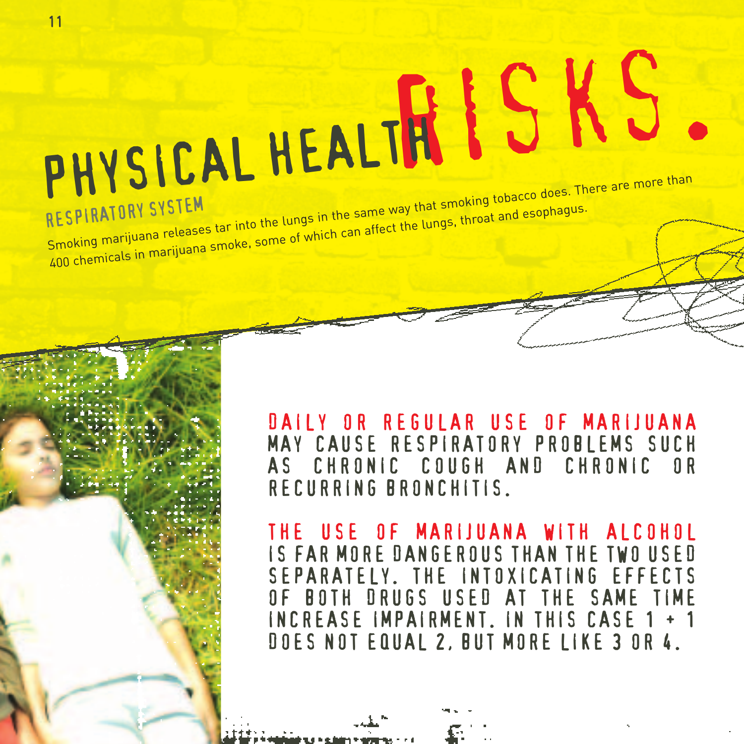# risks. PHYSICAL HEALTH RESPIRATORY SYSTEM RESPIRATORY SYSTEM<br>Smoking marijuana releases tar into the lungs in the same way that smoking tobacco does. There are more than<br>Smoking marijuana releases tar into the lungs in the same way that smoking tobacco does. There 400 chemicals in marijuana smoke, some of which can affect the lungs, throat and esophagus.

DAILY OR REGULAR USE OF MARIJUANA MAY CAUSE RESPIRATORY PROBLEMS SUCH AS CHRONIC COUGH AND CHRONIC OR RECURRING BRONCHITIS.

THE USE OF MARIJUANA WITH ALCOHOL IS FAR MORE DANGEROUS THAN THE TWO USED SEPARATELY. THE INTOXICATING EFFECTS OF BOTH DRUGS USED AT THE SAME TIME INCREASE IMPAIRMENT. IN THIS CASE 1 + 1 DOES NOT EQUAL 2, BUT MORE LIKE 3 OR 4.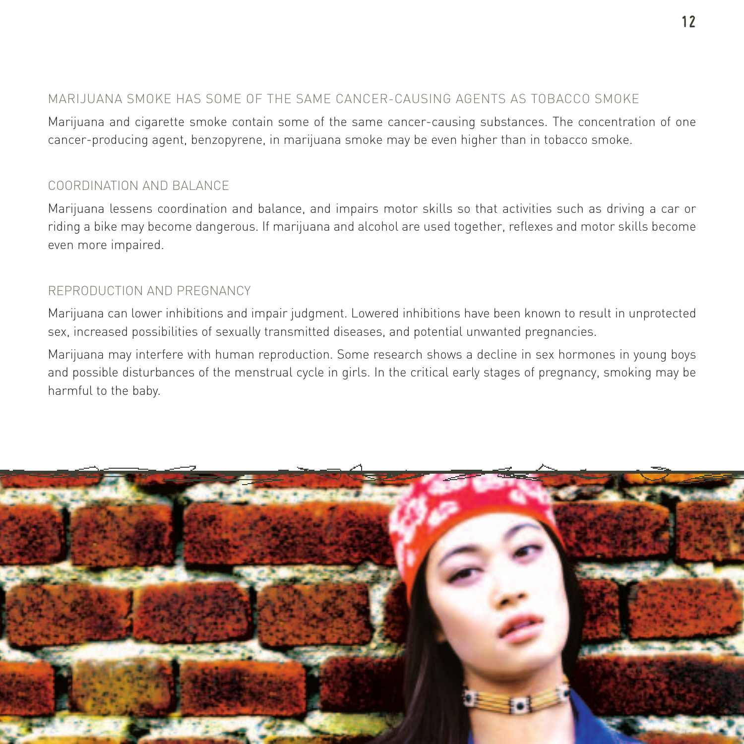#### MARIJUANA SMOKE HAS SOME OF THE SAME CANCER-CAUSING AGENTS AS TOBACCO SMOKE

Marijuana and cigarette smoke contain some of the same cancer-causing substances. The concentration of one cancer-producing agent, benzopyrene, in marijuana smoke may be even higher than in tobacco smoke.

#### COORDINATION AND BALANCE

Marijuana lessens coordination and balance, and impairs motor skills so that activities such as driving a car or riding a bike may become dangerous. If marijuana and alcohol are used together, reflexes and motor skills become even more impaired.

#### REPRODUCTION AND PREGNANCY

Marijuana can lower inhibitions and impair judgment. Lowered inhibitions have been known to result in unprotected sex, increased possibilities of sexually transmitted diseases, and potential unwanted pregnancies.

Marijuana may interfere with human reproduction. Some research shows a decline in sex hormones in young boys and possible disturbances of the menstrual cycle in girls. In the critical early stages of pregnancy, smoking may be harmful to the baby.

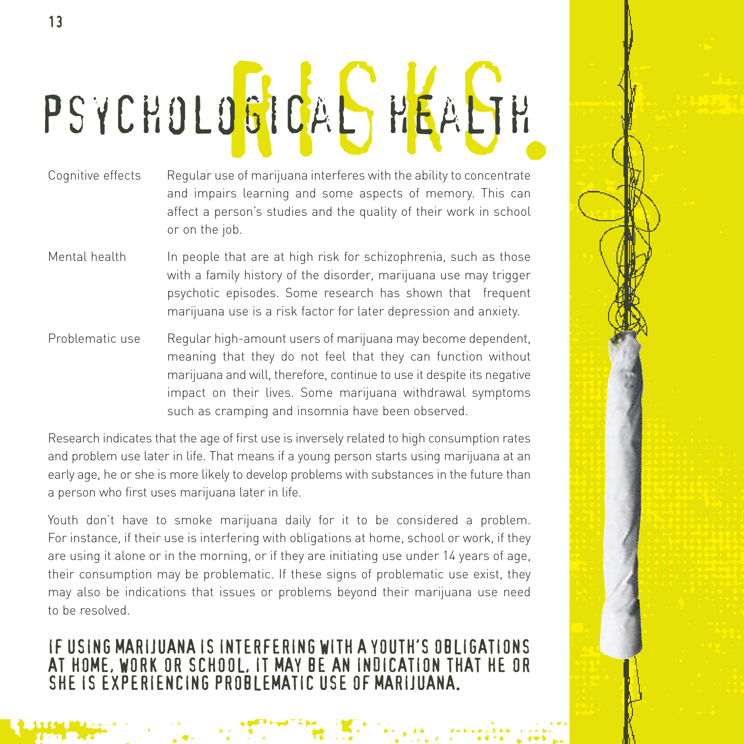# PSYCHOLOGICAL HEALTH

- Cognitive effects Regular use of marijuana interferes with the ability to concentrate and impairs learning and some aspects of memory. This can affect a person's studies and the quality of their work in school or on the job.
- Mental health In people that are at high risk for schizophrenia, such as those with a family history of the disorder, marijuana use may trigger psychotic episodes. Some research has shown that frequent marijuana use is a risk factor for later depression and anxiety.
- Problematic use Regular high-amount users of marijuana may become dependent, meaning that they do not feel that they can function without marijuana and will, therefore, continue to use it despite its negative impact on their lives. Some marijuana withdrawal symptoms such as cramping and insomnia have been observed.

Research indicates that the age of first use is inversely related to high consumption rates and problem use later in life. That means if a young person starts using marijuana at an early age, he or she is more likely to develop problems with substances in the future than a person who first uses marijuana later in life.

Youth don't have to smoke marijuana daily for it to be considered a problem. For instance, if their use is interfering with obligations at home, school or work, if they are using it alone or in the morning, or if they are initiating use under 14 years of age, their consumption may be problematic. If these signs of problematic use exist, they may also be indications that issues or problems beyond their marijuana use need to be resolved.

IF USING MARIJUANA IS INTERFERING WITH A YOUTH'S OBLIGATIONS AT HOME, WORK OR SCHOOL, IT MAY BE AN INDICATION THAT HE OR SHE IS EXPERIENCING PROBLEMATIC USE OF MARIJUANA.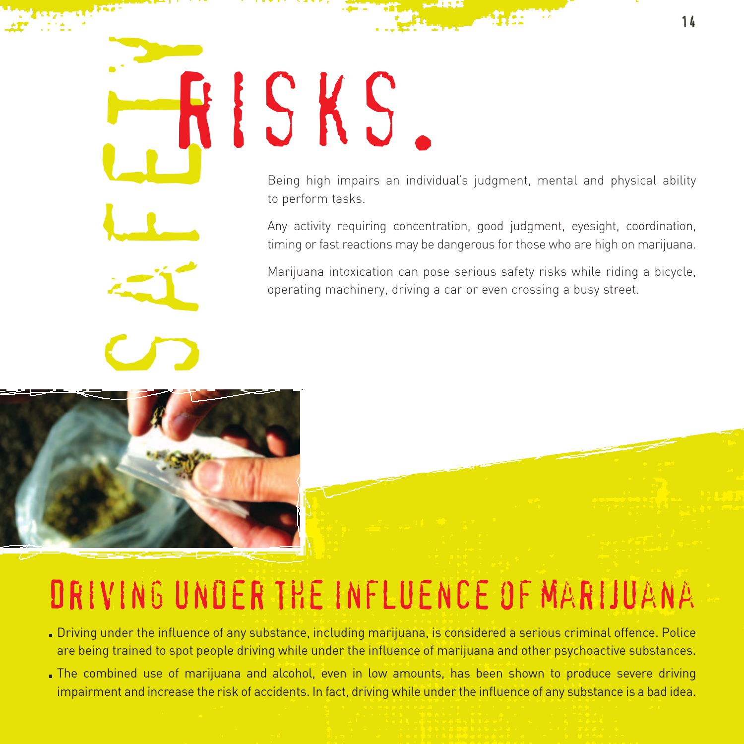# safetyrisks.

Being high impairs an individual's judgment, mental and physical ability to perform tasks.

Any activity requiring concentration, good judgment, eyesight, coordination, timing or fast reactions may be dangerous for those who are high on marijuana.

Marijuana intoxication can pose serious safety risks while riding a bicycle, operating machinery, driving a car or even crossing a busy street.



### Driving under the influence of marijuana

- Driving under the influence of any substance, including marijuana, is considered a serious criminal offence. Police are being trained to spot people driving while under the influence of marijuana and other psychoactive substances.
- The combined use of marijuana and alcohol, even in low amounts, has been shown to produce severe driving impairment and increase the risk of accidents. In fact, driving while under the influence of any substance is a bad idea.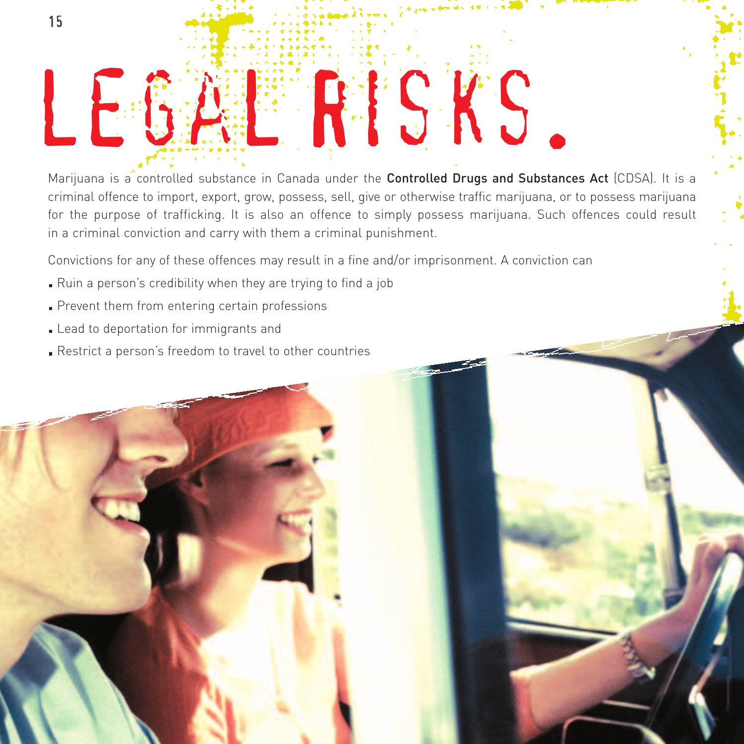

Marijuana is a controlled substance in Canada under the **Controlled Drugs and Substances Act** (CDSA). It is a criminal offence to import, export, grow, possess, sell, give or otherwise traffic marijuana, or to possess marijuana for the purpose of trafficking. It is also an offence to simply possess marijuana. Such offences could result in a criminal conviction and carry with them a criminal punishment.

Convictions for any of these offences may result in a fine and/or imprisonment. A conviction can

- Ruin a person's credibility when they are trying to find a job
- Prevent them from entering certain professions
- **Lead to deportation for immigrants and**
- Restrict a person's freedom to travel to other countries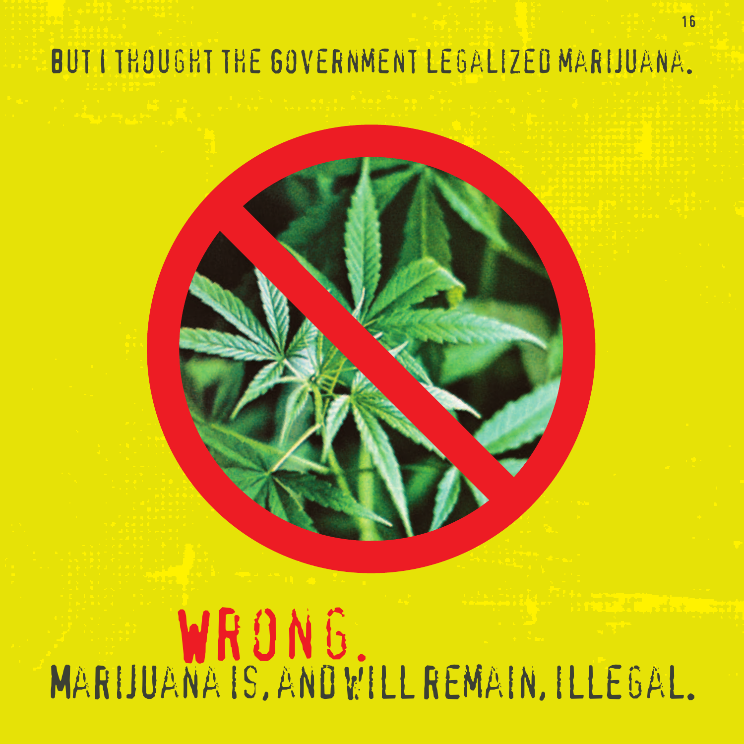#### But I thought the Government legalized marijuana.

# WRONG. Marijuana is, and will remain, illegal.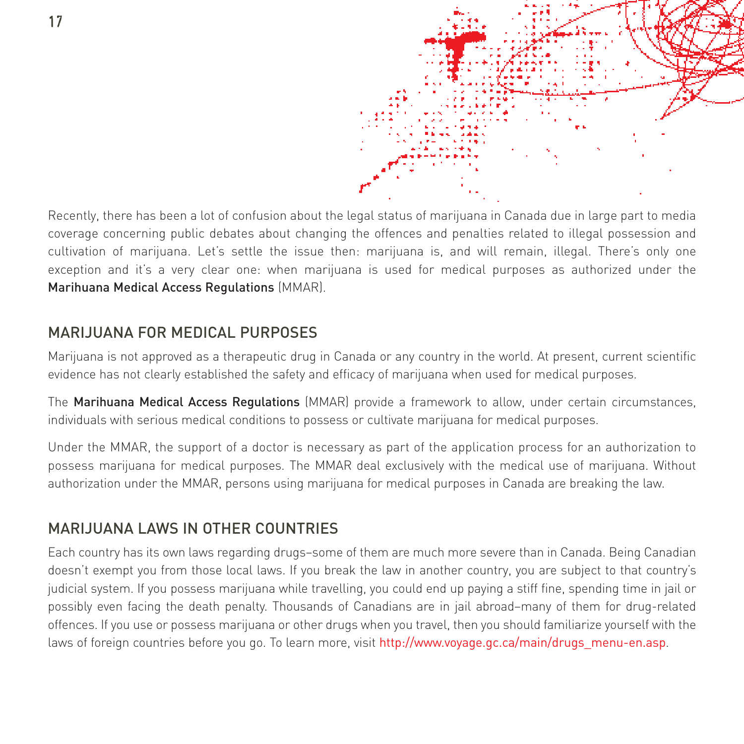

Recently, there has been a lot of confusion about the legal status of marijuana in Canada due in large part to media coverage concerning public debates about changing the offences and penalties related to illegal possession and cultivation of marijuana. Let's settle the issue then: marijuana is, and will remain, illegal. There's only one exception and it's a very clear one: when marijuana is used for medical purposes as authorized under the Marihuana Medical Access Regulations (MMAR).

#### MARIJUANA FOR MEDICAL PURPOSES

Marijuana is not approved as a therapeutic drug in Canada or any country in the world. At present, current scientific evidence has not clearly established the safety and efficacy of marijuana when used for medical purposes.

The Marihuana Medical Access Regulations (MMAR) provide a framework to allow, under certain circumstances, individuals with serious medical conditions to possess or cultivate marijuana for medical purposes.

Under the MMAR, the support of a doctor is necessary as part of the application process for an authorization to possess marijuana for medical purposes. The MMAR deal exclusively with the medical use of marijuana. Without authorization under the MMAR, persons using marijuana for medical purposes in Canada are breaking the law.

#### MARIJUANA LAWS IN OTHER COUNTRIES

Each country has its own laws regarding drugs–some of them are much more severe than in Canada. Being Canadian doesn't exempt you from those local laws. If you break the law in another country, you are subject to that country's judicial system. If you possess marijuana while travelling, you could end up paying a stiff fine, spending time in jail or possibly even facing the death penalty. Thousands of Canadians are in jail abroad–many of them for drug-related offences. If you use or possess marijuana or other drugs when you travel, then you should familiarize yourself with the laws of foreign countries before you go. To learn more, visit http://www.voyage.gc.ca/main/drugs\_menu-en.asp.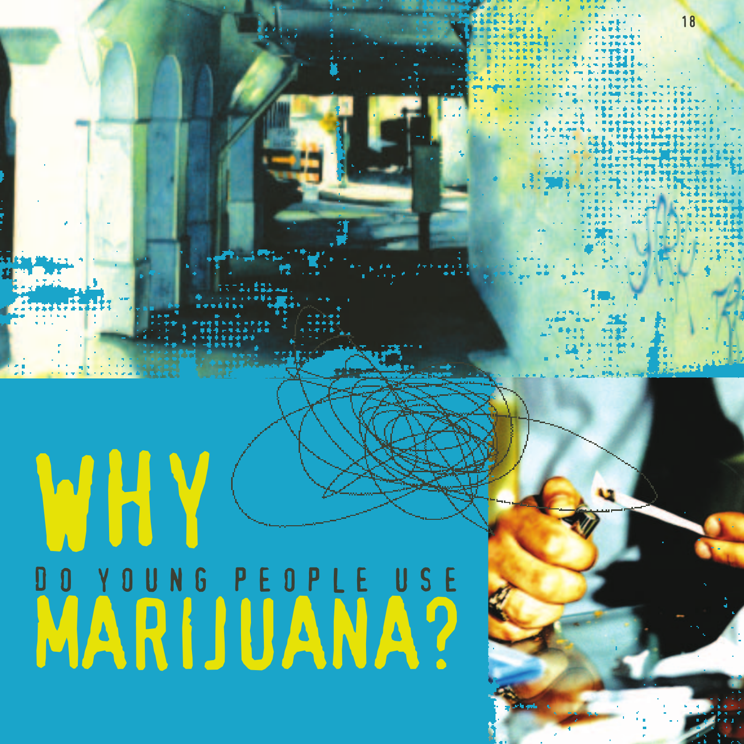# WHY DO YOUNG PEOPLE USE UU YUUNG PEUPLE USE

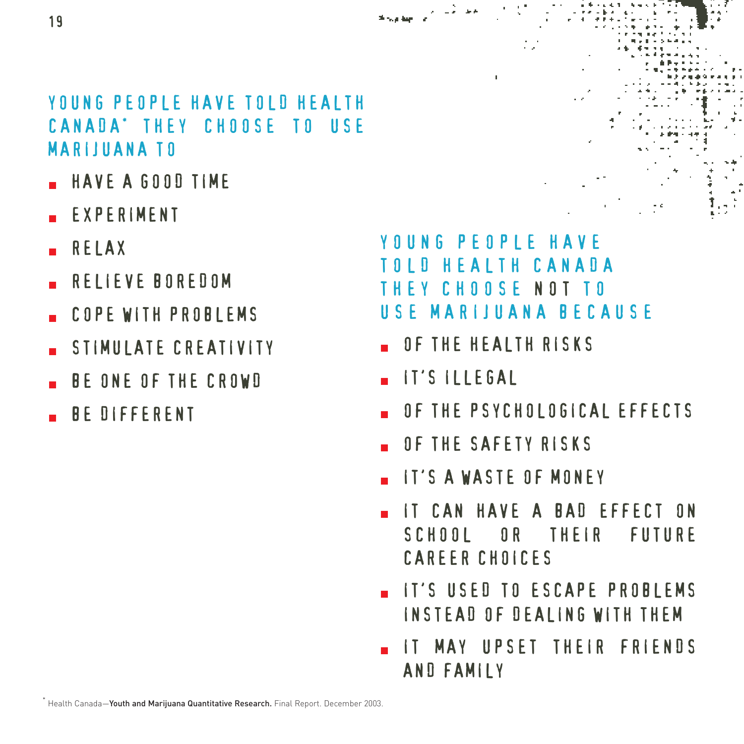#### YOUNG PEOPLE HAVE TOLD HEALTH CANADA\* THEY CHOOSE TO USE MARIJUANA TO

- HAVE A GOOD TIME
- EXPERIMENT
- RELAX
- RELIEVE BOREDOM
- COPE WITH PROBLEMS
- STIMULATE CREATIVITY
- BE ONE OF THE CROWD
- BE DIFFERENT

#### YOUNG PEOPLE HAVE I D HEALTH CANADA THEY CHOOSE NOT TO USE MARIJUANA BECAUSE

- OF THE HEALTH RISKS
- IT'S ILLEGAL
- OF THE PSYCHOLOGICAL EFFECTS
- OF THE SAFETY RISKS
- IT'S A WASTE OF MONEY
- IT CAN HAVE A BAD EFFECT ON SCHOOL OR THEIR FUTURE CAREER CHOICES
- IT'S USED TO ESCAPE PROBLEMS INSTEAD OF DEALING WITH THEM
- IT MAY UPSET THEIR FRIENDS AND FAMILY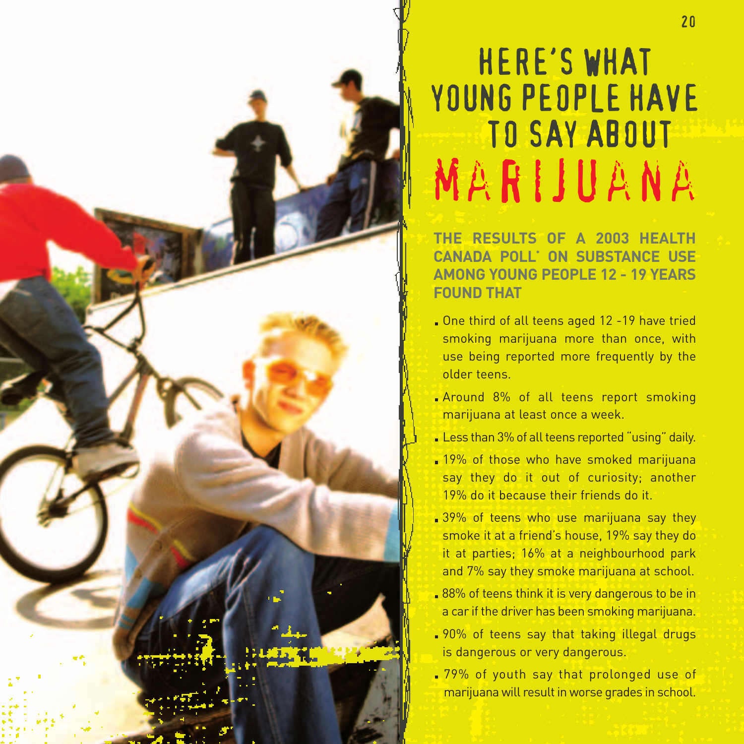## HERE'S WHAT YOUNG PEOPLE HAVE TO SAY ABOUT marijuana

**THE RESULTS OF A 2003 HEALTH CANADA POLL\* ON SUBSTANCE USE AMONG YOUNG PEOPLE 12 - 19 YEARS FOUND THAT**

- One third of all teens aged 12 -19 have tried smoking marijuana more than once, with use being reported more frequently by the older teens.
- **Around 8% of all teens report smoking** marijuana at least once a week.
- Less than 3% of all teens reported "using" daily.
- 19% of those who have smoked marijuana say they do it out of curiosity; another 19% do it because their friends do it.
- 39% of teens who use marijuana say they smoke it at a friend's house, 19% say they do it at parties; 16% at a neighbourhood park and 7% say they smoke marijuana at school.
- **88%** of teens think it is very dangerous to be in a car if the driver has been smoking marijuana.
- . 90% of teens say that taking illegal drugs is dangerous or very dangerous.
- .79% of youth say that prolonged use of marijuana will result in worse grades in school.